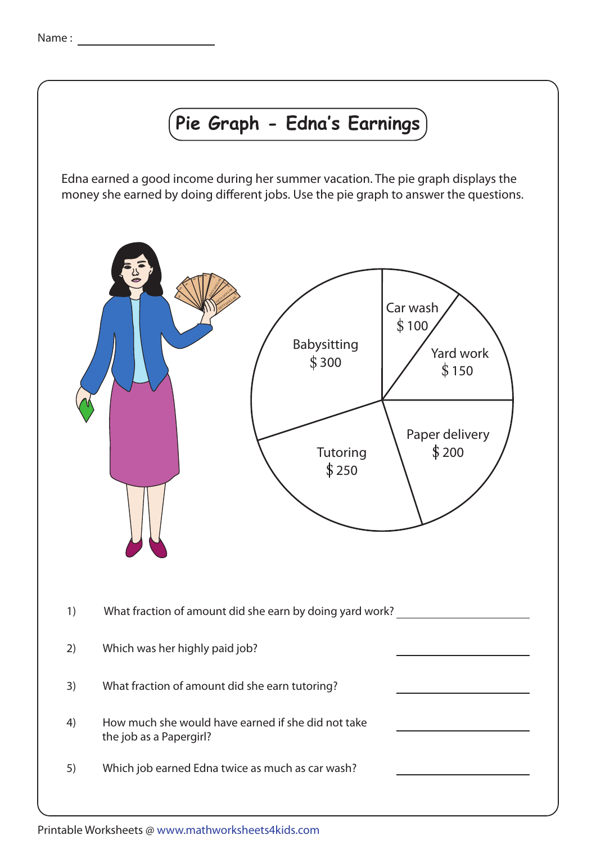